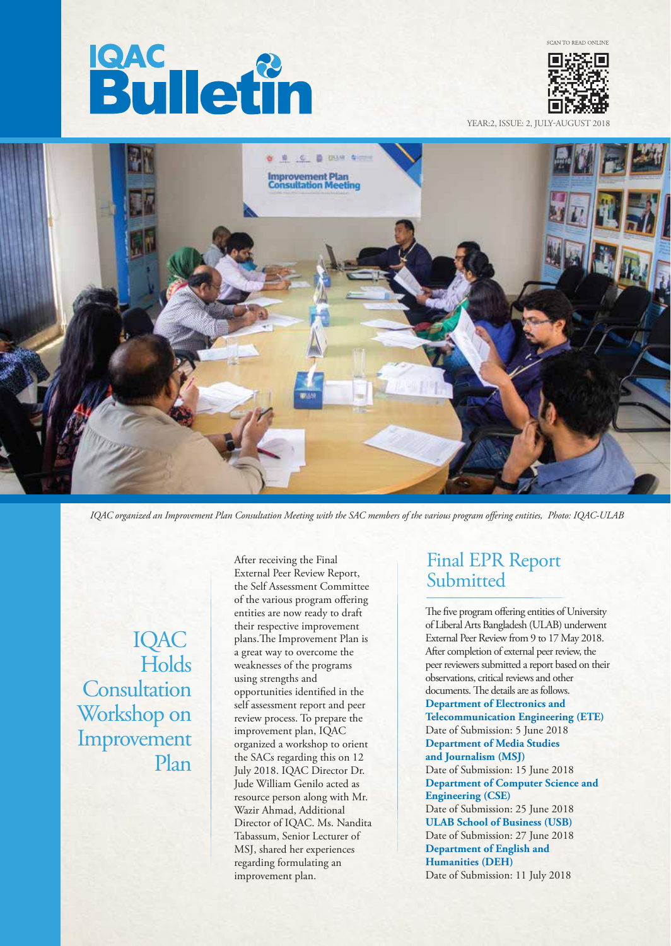# **Bulletin**



YEAR:2, ISSUE: 2, JULY



*IQAC organized an Improvement Plan Consultation Meeting with the SAC members of the various program offering entities, Photo: IQAC-ULAB* 

IQAC **Holds Consultation** Workshop on Improvement Plan

After receiving the Final External Peer Review Report, the Self Assessment Committee of the various program offering entities are now ready to draft their respective improvement plans. The Improvement Plan is a great way to overcome the weaknesses of the programs using strengths and opportunities identified in the self assessment report and peer review process. To prepare the improvement plan, IQAC organized a workshop to orient the SACs regarding this on 12 July 2018. IQAC Director Dr. Jude William Genilo acted as resource person along with Mr. Wazir Ahmad, Additional Director of IQAC. Ms. Nandita Tabassum, Senior Lecturer of MSJ, shared her experiences regarding formulating an improvement plan.

## Final EPR Report Submitted

The five program offering entities of University of Liberal Arts Bangladesh (ULAB) underwent External Peer Review from 9 to 17 May 2018. After completion of external peer review, the peer reviewers submitted a report based on their observations, critical reviews and other documents. The details are as follows. **Department of Electronics and Telecommunication Engineering (ETE)** Date of Submission: 5 June 2018 **Department of Media Studies and Journalism (MSJ)** Date of Submission: 15 June 2018 **Department of Computer Science and Engineering (CSE)** Date of Submission: 25 June 2018 **ULAB School of Business (USB)** Date of Submission: 27 June 2018 **Department of English and Humanities (DEH)** Date of Submission: 11 July 2018